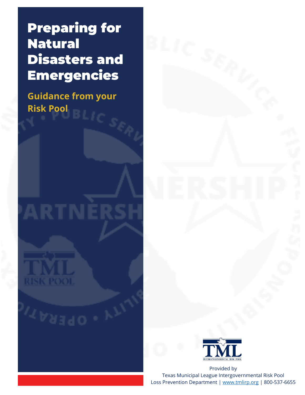Preparing for Natural Disasters and Emergencies

 $BLIC_S$ 

**Guidance from your Risk Pool** 

# ARTNÉ





Provided by Texas Municipal League Intergovernmental Risk Pool

Loss Prevention Department | [www.tmlirp.org](http://www.tmlirp.org/) | 800-537-6655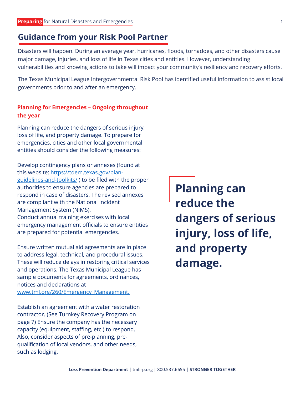### **Guidance from your Risk Pool Partner**

Disasters will happen. During an average year, hurricanes, floods, tornadoes, and other disasters cause major damage, injuries, and loss of life in Texas cities and entities. However, understanding vulnerabilities and knowing actions to take will impact your community's resiliency and recovery efforts.

The Texas Municipal League Intergovernmental Risk Pool has identified useful information to assist local governments prior to and after an emergency.

### **Planning for Emergencies – Ongoing throughout the year**

Planning can reduce the dangers of serious injury, loss of life, and property damage. To prepare for emergencies, cities and other local governmental entities should consider the following measures:

Develop contingency plans or annexes (found at this website: [https://tdem.texas.gov/plan](https://tdem.texas.gov/plan-guidelines-and-toolkits/)[guidelines-and-toolkits/](https://tdem.texas.gov/plan-guidelines-and-toolkits/) ) to be filed with the proper authorities to ensure agencies are prepared to respond in case of disasters. The revised annexes are compliant with the National Incident Management System (NIMS). Conduct annual training exercises with local emergency management officials to ensure entities

are prepared for potential emergencies.

Ensure written mutual aid agreements are in place to address legal, technical, and procedural issues. These will reduce delays in restoring critical services and operations. The Texas Municipal League has sample documents for agreements, ordinances, notices and declarations at [www.tml.org/260/Emergency\\_Management.](http://www.tml.org/260/Emergency_Management)

Establish an agreement with a water restoration contractor. (See Turnkey Recovery Program on page 7) Ensure the company has the necessary capacity (equipment, staffing, etc.) to respond. Also, consider aspects of pre-planning, prequalification of local vendors, and other needs, such as lodging.

**Planning can reduce the dangers of serious injury, loss of life, and property damage.**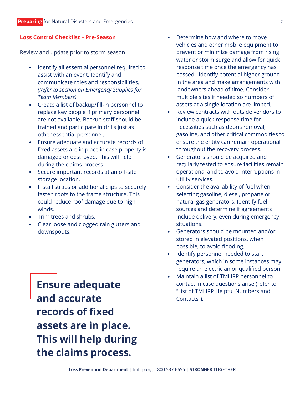### **Loss Control Checklist – Pre-Season**

Review and update prior to storm season

- Identify all essential personnel required to assist with an event. Identify and communicate roles and responsibilities. *(Refer to section on Emergency Supplies for Team Members)*
- Create a list of backup/fill-in personnel to replace key people if primary personnel are not available. Backup staff should be trained and participate in drills just as other essential personnel.
- Ensure adequate and accurate records of fixed assets are in place in case property is damaged or destroyed. This will help during the claims process.
- Secure important records at an off-site storage location.
- Install straps or additional clips to securely fasten roofs to the frame structure. This could reduce roof damage due to high winds.
- Trim trees and shrubs.
- Clear loose and clogged rain gutters and downspouts.

**Ensure adequate and accurate records of fixed assets are in place. This will help during the claims process.**

- Determine how and where to move vehicles and other mobile equipment to prevent or minimize damage from rising water or storm surge and allow for quick response time once the emergency has passed. Identify potential higher ground in the area and make arrangements with landowners ahead of time. Consider multiple sites if needed so numbers of assets at a single location are limited.
- Review contracts with outside vendors to include a quick response time for necessities such as debris removal, gasoline, and other critical commodities to ensure the entity can remain operational throughout the recovery process.
- Generators should be acquired and regularly tested to ensure facilities remain operational and to avoid interruptions in utility services.
- Consider the availability of fuel when selecting gasoline, diesel, propane or natural gas generators. Identify fuel sources and determine if agreements include delivery, even during emergency situations.
- Generators should be mounted and/or stored in elevated positions, when possible, to avoid flooding.
- Identify personnel needed to start generators, which in some instances may require an electrician or qualified person.
- Maintain a list of TMLIRP personnel to contact in case questions arise (refer to "List of TMLIRP Helpful Numbers and Contacts").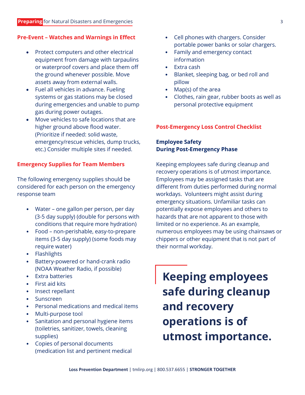### **Pre-Event – Watches and Warnings in Effect**

- Protect computers and other electrical equipment from damage with tarpaulins or waterproof covers and place them off the ground whenever possible. Move assets away from external walls.
- Fuel all vehicles in advance. Fueling systems or gas stations may be closed during emergencies and unable to pump gas during power outages.
- Move vehicles to safe locations that are higher ground above flood water. (Prioritize if needed: solid waste, emergency/rescue vehicles, dump trucks, etc.) Consider multiple sites if needed.

### **Emergency Supplies for Team Members**

The following emergency supplies should be considered for each person on the emergency response team

- Water one gallon per person, per day (3-5 day supply) (double for persons with conditions that require more hydration)
- Food non-perishable, easy-to-prepare items (3-5 day supply) (some foods may require water)
- Flashlights
- Battery-powered or hand-crank radio (NOAA Weather Radio, if possible)
- Extra batteries
- First aid kits
- Insect repellant
- **Sunscreen**
- Personal medications and medical items
- Multi-purpose tool
- Sanitation and personal hygiene items (toiletries, sanitizer, towels, cleaning supplies)
- Copies of personal documents (medication list and pertinent medical
- Cell phones with chargers. Consider portable power banks or solar chargers.
- Family and emergency contact information
- Extra cash
- Blanket, sleeping bag, or bed roll and pillow
- Map(s) of the area
- Clothes, rain gear, rubber boots as well as personal protective equipment

### **Post-Emergency Loss Control Checklist**

### **Employee Safety During Post-Emergency Phase**

Keeping employees safe during cleanup and recovery operations is of utmost importance. Employees may be assigned tasks that are different from duties performed during normal workdays. Volunteers might assist during emergency situations. Unfamiliar tasks can potentially expose employees and others to hazards that are not apparent to those with limited or no experience. As an example, numerous employees may be using chainsaws or chippers or other equipment that is not part of their normal workday.

**Keeping employees safe during cleanup and recovery operations is of utmost importance.**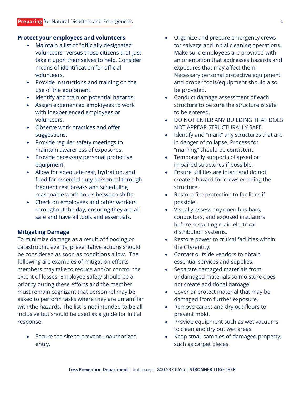### **Protect your employees and volunteers**

- Maintain a list of "officially designated volunteers" versus those citizens that just take it upon themselves to help. Consider means of identification for official volunteers.
- Provide instructions and training on the use of the equipment.
- Identify and train on potential hazards.
- Assign experienced employees to work with inexperienced employees or volunteers.
- Observe work practices and offer suggestions.
- Provide regular safety meetings to maintain awareness of exposures.
- Provide necessary personal protective equipment.
- Allow for adequate rest, hydration, and food for essential duty personnel through frequent rest breaks and scheduling reasonable work hours between shifts.
- Check on employees and other workers throughout the day, ensuring they are all safe and have all tools and essentials.

### **Mitigating Damage**

To minimize damage as a result of flooding or catastrophic events, preventative actions should be considered as soon as conditions allow. The following are examples of mitigation efforts members may take to reduce and/or control the extent of losses. Employee safety should be a priority during these efforts and the member must remain cognizant that personnel may be asked to perform tasks where they are unfamiliar with the hazards. The list is not intended to be all inclusive but should be used as a guide for initial response.

• Secure the site to prevent unauthorized entry.

- Organize and prepare emergency crews for salvage and initial cleaning operations. Make sure employees are provided with an orientation that addresses hazards and exposures that may affect them. Necessary personal protective equipment and proper tools/equipment should also be provided.
- Conduct damage assessment of each structure to be sure the structure is safe to be entered.
- DO NOT ENTER ANY BUILDING THAT DOES NOT APPEAR STRUCTURALLY SAFE
- Identify and "mark" any structures that are in danger of collapse. Process for "marking" should be consistent.
- Temporarily support collapsed or impaired structures if possible.
- Ensure utilities are intact and do not create a hazard for crews entering the structure.
- Restore fire protection to facilities if possible.
- Visually assess any open bus bars, conductors, and exposed insulators before restarting main electrical distribution systems.
- Restore power to critical facilities within the city/entity.
- Contact outside vendors to obtain essential services and supplies.
- Separate damaged materials from undamaged materials so moisture does not create additional damage.
- Cover or protect material that may be damaged from further exposure.
- Remove carpet and dry out floors to prevent mold.
- Provide equipment such as wet vacuums to clean and dry out wet areas.
- Keep small samples of damaged property, such as carpet pieces.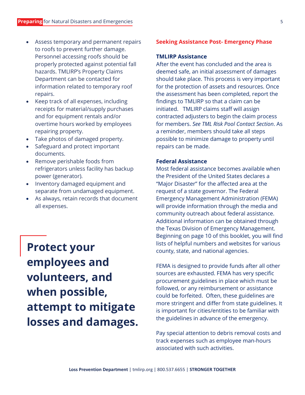- Assess temporary and permanent repairs to roofs to prevent further damage. Personnel accessing roofs should be properly protected against potential fall hazards. TMLIRP's Property Claims Department can be contacted for information related to temporary roof repairs.
- Keep track of all expenses, including receipts for material/supply purchases and for equipment rentals and/or overtime hours worked by employees repairing property.
- Take photos of damaged property.
- Safeguard and protect important documents.
- Remove perishable foods from refrigerators unless facility has backup power (generator).
- Inventory damaged equipment and separate from undamaged equipment.
- As always, retain records that document all expenses.

**Protect your employees and volunteers, and when possible, attempt to mitigate losses and damages.** 

#### **Seeking Assistance Post- Emergency Phase**

### **TMLIRP Assistance**

After the event has concluded and the area is deemed safe, an initial assessment of damages should take place. This process is very important for the protection of assets and resources. Once the assessment has been completed, report the findings to TMLIRP so that a claim can be initiated. TMLIRP claims staff will assign contracted adjusters to begin the claim process for members. *See TML Risk Pool Contact Section*. As a reminder, members should take all steps possible to minimize damage to property until repairs can be made.

### **Federal Assistance**

Most federal assistance becomes available when the President of the United States declares a "Major Disaster" for the affected area at the request of a state governor. The Federal Emergency Management Administration (FEMA) will provide information through the media and community outreach about federal assistance. Additional information can be obtained through the Texas Division of Emergency Management. Beginning on page 10 of this booklet, you will find lists of helpful numbers and websites for various county, state, and national agencies.

FEMA is designed to provide funds after all other sources are exhausted. FEMA has very specific procurement guidelines in place which must be followed, or any reimbursement or assistance could be forfeited. Often, these guidelines are more stringent and differ from state guidelines. It is important for cities/entities to be familiar with the guidelines in advance of the emergency.

Pay special attention to debris removal costs and track expenses such as employee man-hours associated with such activities.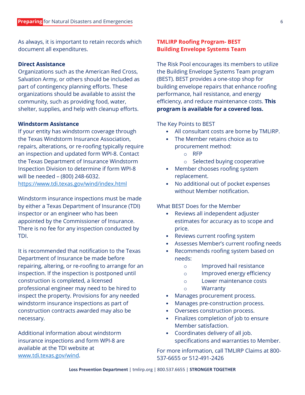As always, it is important to retain records which document all expenditures.

### **Direct Assistance**

Organizations such as the American Red Cross, Salvation Army, or others should be included as part of contingency planning efforts. These organizations should be available to assist the community, such as providing food, water, shelter, supplies, and help with cleanup efforts.

### **Windstorm Assistance**

If your entity has windstorm coverage through the Texas Windstorm Insurance Association, repairs, alterations, or re-roofing typically require an inspection and updated form WPI-8. Contact the Texas Department of Insurance Windstorm Inspection Division to determine if form WPI-8 will be needed – (800) 248-6032. <https://www.tdi.texas.gov/wind/index.html>

Windstorm insurance inspections must be made by either a Texas Department of Insurance (TDI) inspector or an engineer who has been appointed by the Commissioner of Insurance. There is no fee for any inspection conducted by TDI.

It is recommended that notification to the Texas Department of Insurance be made before repairing, altering, or re-roofing to arrange for an inspection. If the inspection is postponed until construction is completed, a licensed professional engineer may need to be hired to inspect the property. Provisions for any needed windstorm insurance inspections as part of construction contracts awarded may also be necessary.

Additional information about windstorm insurance inspections and form WPI-8 are available at the TDI website at [www.tdi.texas.gov/wind.](http://www.tdi.texas.gov/wind)

### **TMLIRP Roofing Program- BEST Building Envelope Systems Team**

The Risk Pool encourages its members to utilize the Building Envelope Systems Team program (BEST). BEST provides a one-stop shop for building envelope repairs that enhance roofing performance, hail resistance, and energy efficiency, and reduce maintenance costs. **This program is available for a covered loss.**

### The Key Points to BEST

- All consultant costs are borne by TMLIRP.
- The Member retains choice as to procurement method:
	- o RFP
	- o Selected buying cooperative
- Member chooses roofing system replacement.
- No additional out of pocket expenses without Member notification.

### What BEST Does for the Member

- Reviews all independent adjuster estimates for accuracy as to scope and price.
- Reviews current roofing system
- Assesses Member's current roofing needs
- Recommends roofing system based on needs:
	- o Improved hail resistance
	- o Improved energy efficiency
	- o Lower maintenance costs
	- o Warranty
	- Manages procurement process.
- Manages pre-construction process.
- Oversees construction process.
- Finalizes completion of job to ensure Member satisfaction.
- Coordinates delivery of all job. specifications and warranties to Member.

For more information, call TMLIRP Claims at 800- 537-6655 or 512-491-2426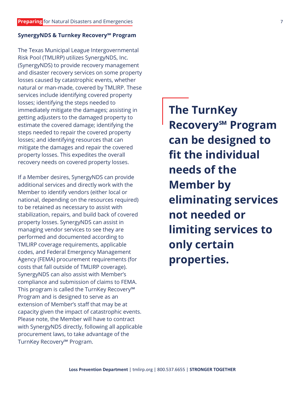### **SynergyNDS & Turnkey Recovery℠ Program**

The Texas Municipal League Intergovernmental Risk Pool (TMLIRP) utilizes SynergyNDS, Inc. (SynergyNDS) to provide recovery management and disaster recovery services on some property losses caused by catastrophic events, whether natural or man-made, covered by TMLIRP. These services include identifying covered property losses; identifying the steps needed to immediately mitigate the damages; assisting in getting adjusters to the damaged property to estimate the covered damage; identifying the steps needed to repair the covered property losses; and identifying resources that can mitigate the damages and repair the covered property losses. This expedites the overall recovery needs on covered property losses.

If a Member desires, SynergyNDS can provide additional services and directly work with the Member to identify vendors (either local or national, depending on the resources required) to be retained as necessary to assist with stabilization, repairs, and build back of covered property losses. SynergyNDS can assist in managing vendor services to see they are performed and documented according to TMLIRP coverage requirements, applicable codes, and Federal Emergency Management Agency (FEMA) procurement requirements (for costs that fall outside of TMLIRP coverage). SynergyNDS can also assist with Member's compliance and submission of claims to FEMA. This program is called the TurnKey Recovery℠ Program and is designed to serve as an extension of Member's staff that may be at capacity given the impact of catastrophic events. Please note, the Member will have to contract with SynergyNDS directly, following all applicable procurement laws, to take advantage of the TurnKey Recovery℠ Program.

**The TurnKey Recovery℠ Program can be designed to fit the individual needs of the Member by eliminating services not needed or limiting services to only certain properties.**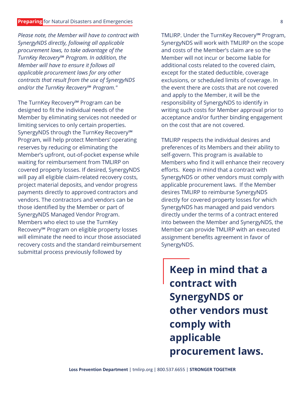#### **Preparing** for Natural Disasters and Emergencies 8 and 2008 and 2008 8 and 2008 8 and 2008 8 and 2008 8 and 2008 8 and 2008 8 and 2008 8 and 2008 8 and 2008 8 and 2008 8 and 2008 8 and 2008 8 and 2008 8 and 2008 8 and 200

*Please note, the Member will have to contract with SynergyNDS directly, following all applicable procurement laws, to take advantage of the TurnKey Recovery℠ Program. In addition, the Member will have to ensure it follows all applicable procurement laws for any other contracts that result from the use of SynergyNDS and/or the TurnKey Recovery℠ Program."*

The TurnKey Recovery℠ Program can be designed to fit the individual needs of the Member by eliminating services not needed or limiting services to only certain properties. SynergyNDS through the TurnKey Recovery<sup>SM</sup> Program, will help protect Members' operating reserves by reducing or eliminating the Member's upfront, out-of-pocket expense while waiting for reimbursement from TMLIRP on covered property losses. If desired, SynergyNDS will pay all eligible claim-related recovery costs, project material deposits, and vendor progress payments directly to approved contractors and vendors. The contractors and vendors can be those identified by the Member or part of SynergyNDS Managed Vendor Program. Members who elect to use the TurnKey Recovery℠ Program on eligible property losses will eliminate the need to incur those associated recovery costs and the standard reimbursement submittal process previously followed by

TMLIRP. Under the TurnKey Recovery℠ Program, SynergyNDS will work with TMLIRP on the scope and costs of the Member's claim are so the Member will not incur or become liable for additional costs related to the covered claim, except for the stated deductible, coverage exclusions, or scheduled limits of coverage. In the event there are costs that are not covered and apply to the Member, it will be the responsibility of SynergyNDS to identify in writing such costs for Member approval prior to acceptance and/or further binding engagement on the cost that are not covered.

TMLIRP respects the individual desires and preferences of its Members and their ability to self-govern. This program is available to Members who find it will enhance their recovery efforts. Keep in mind that a contract with SynergyNDS or other vendors must comply with applicable procurement laws. If the Member desires TMLIRP to reimburse SynergyNDS directly for covered property losses for which SynergyNDS has managed and paid vendors directly under the terms of a contract entered into between the Member and SynergyNDS, the Member can provide TMLIRP with an executed assignment benefits agreement in favor of SynergyNDS.

**Keep in mind that a contract with SynergyNDS or other vendors must comply with applicable procurement laws.**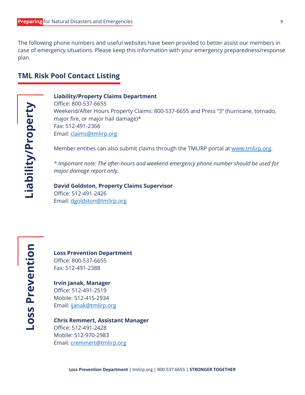The following phone numbers and useful websites have been provided to better assist our members in case of emergency situations. Please keep this information with your emergency preparedness/response plan.

### **TML Risk Pool Contact Listing**

**Liability/Property Loss Prevention**Liability/Property

### **Liability/Property Claims Department**

Office: 800-537-6655 Weekend/After Hours Property Claims: 800-537-6655 and Press "3" (hurricane, tornado, major fire, or major hail damage)\* Fax: 512-491-2366 Email: [claims@tmlirp.org](mailto:claims@tmlirp.org)

Member entities can also submit claims through the TMLIRP portal at [www.tmlirp.org.](http://www.tmlirp.org/)

*\* Important note: The after-hours and weekend emergency phone number should be used for major damage report only.*

**David Goldston, Property Claims Supervisor** Office: 512-491-2426 Email: [dgoldston@tmlirp.org](mailto:dgoldston@tmlirp.org)

**Loss Prevention Department** Office: 800-537-6655 Fax: 512-491-2388

**Irvin Janak, Manager** Office: 512-491-2519 Mobile: 512-415-2934 Email: [ijanak@tmlirp.org](mailto:ijanak@tmlirp.org)

### **Chris Remmert, Assistant Manager** Office: 512-491-2428

Mobile: 512-970-2983 Email: [cremmert@tmlirp.org](mailto:cremmert@tmlirp.org)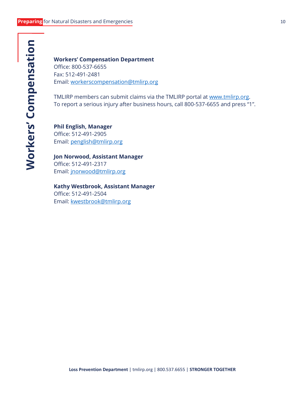### **Workers' Compensation Department** Office: 800-537-6655 Fax: 512-491-2481 Email: [workerscompensation@tmlirp.org](mailto:workerscompensation@tmlirp.org)

TMLIRP members can submit claims via the TMLIRP portal at [www.tmlirp.org.](http://www.tmlirp.org/) To report a serious injury after business hours, call 800-537-6655 and press "1".

**Phil English, Manager** Office: 512-491-2905 Email: [penglish@tmlirp.org](mailto:penglish@tmlirp.org)

**Jon Norwood, Assistant Manager** Office: 512-491-2317 Email: [jnorwood@tmlirp.org](mailto:jnorwood@tmlirp.org)

**Kathy Westbrook, Assistant Manager** Office: 512-491-2504 Email: [kwestbrook@tmlirp.org](mailto:kwestbrook@tmlirp.org)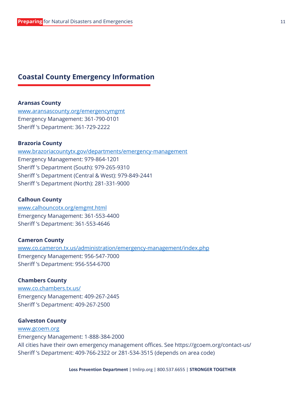### **Coastal County Emergency Information**

### **Aransas County**

[www.aransascounty.org/emergencymgmt](http://www.aransascounty.org/emergencymgmt) Emergency Management: 361-790-0101 Sheriff 's Department: 361-729-2222

### **Brazoria County**

[www.brazoriacountytx.gov/departments/emergency-management](http://www.brazoriacountytx.gov/departments/emergency-management) Emergency Management: 979-864-1201 Sheriff 's Department (South): 979-265-9310 Sheriff 's Department (Central & West): 979-849-2441 Sheriff 's Department (North): 281-331-9000

### **Calhoun County**

[www.calhouncotx.org/emgmt.html](http://www.calhouncotx.org/emgmt.html) Emergency Management: 361-553-4400 Sheriff 's Department: 361-553-4646

#### **Cameron County**

[www.co.cameron.tx.us/administration/emergency-management/index.php](http://www.co.cameron.tx.us/administration/emergency-management/index.php) Emergency Management: 956-547-7000 Sheriff 's Department: 956-554-6700

### **Chambers County**

[www.co.chambers.tx.us/](http://www.co.chambers.tx.us/) Emergency Management: 409-267-2445 Sheriff 's Department: 409-267-2500

### **Galveston County**

### [www.gcoem.org](http://www.gcoem.org/)

Emergency Management: 1-888-384-2000 All cities have their own emergency management offices. See https://gcoem.org/contact-us/ Sheriff 's Department: 409-766-2322 or 281-534-3515 (depends on area code)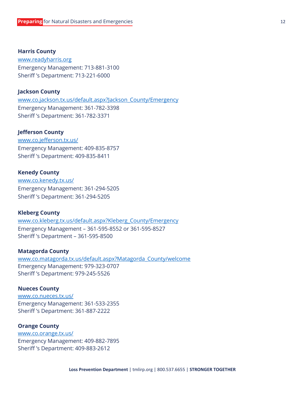**Harris County** [www.readyharris.org](http://www.readyharris.org/) Emergency Management: 713-881-3100 Sheriff 's Department: 713-221-6000

### **Jackson County**

[www.co.jackson.tx.us/default.aspx?Jackson\\_County/Emergency](http://www.co.jackson.tx.us/default.aspx?Jackson_County/Emergency) Emergency Management: 361-782-3398 Sheriff 's Department: 361-782-3371

### **Jefferson County**

[www.co.jefferson.tx.us/](http://www.co.jefferson.tx.us/) Emergency Management: 409-835-8757 Sheriff 's Department: 409-835-8411

### **Kenedy County**

[www.co.kenedy.tx.us/](http://www.co.kenedy.tx.us/) Emergency Management: 361-294-5205 Sheriff 's Department: 361-294-5205

#### **Kleberg County**

[www.co.kleberg.tx.us/default.aspx?Kleberg\\_County/Emergency](http://www.co.kleberg.tx.us/default.aspx?Kleberg_County/Emergency) Emergency Management – 361-595-8552 or 361-595-8527 Sheriff 's Department – 361-595-8500

#### **Matagorda County**

[www.co.matagorda.tx.us/default.aspx?Matagorda\\_County/welcome](http://www.co.matagorda.tx.us/default.aspx?Matagorda_County/welcome) Emergency Management: 979-323-0707 Sheriff 's Department: 979-245-5526

### **Nueces County**

[www.co.nueces.tx.us/](http://www.co.nueces.tx.us/) Emergency Management: 361-533-2355 Sheriff 's Department: 361-887-2222

#### **Orange County**

[www.co.orange.tx.us/](http://www.co.orange.tx.us/) Emergency Management: 409-882-7895 Sheriff 's Department: 409-883-2612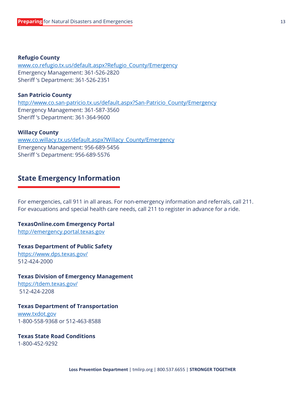### **Refugio County**

[www.co.refugio.tx.us/default.aspx?Refugio\\_County/Emergency](http://www.co.refugio.tx.us/default.aspx?Refugio_County/Emergency) Emergency Management: 361-526-2820 Sheriff 's Department: 361-526-2351

### **San Patricio County**

[http://www.co.san-patricio.tx.us/default.aspx?San-Patricio\\_County/Emergency](http://www.co.san-patricio.tx.us/default.aspx?San-Patricio_County/Emergency) Emergency Management: 361-587-3560 Sheriff 's Department: 361-364-9600

### **Willacy County**

[www.co.willacy.tx.us/default.aspx?Willacy\\_County/Emergency](http://www.co.willacy.tx.us/default.aspx?Willacy_County/Emergency) Emergency Management: 956-689-5456 Sheriff 's Department: 956-689-5576

### **State Emergency Information**

For emergencies, call 911 in all areas. For non-emergency information and referrals, call 211. For evacuations and special health care needs, call 211 to register in advance for a ride.

### **TexasOnline.com Emergency Portal**

[http://emergency.portal.texas.gov](http://emergency.portal.texas.gov/)

### **Texas Department of Public Safety**

<https://www.dps.texas.gov/> 512-424-2000

#### **Texas Division of Emergency Management**

<https://tdem.texas.gov/> 512-424-2208

### **Texas Department of Transportation**

[www.txdot.gov](http://www.txdot.gov/) 1-800-558-9368 or 512-463-8588

#### **Texas State Road Conditions**

1-800-452-9292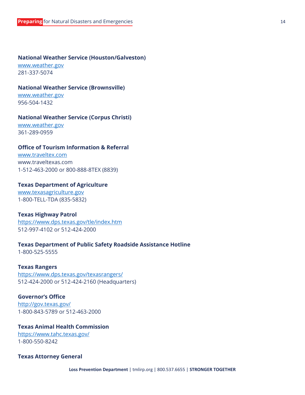### **National Weather Service (Houston/Galveston)**

[www.weather.gov](http://www.weather.gov/) 281-337-5074

### **National Weather Service (Brownsville)**

[www.weather.gov](http://www.weather.gov/) 956-504-1432

### **National Weather Service (Corpus Christi)**

[www.weather.gov](http://www.weather.gov/) 361-289-0959

### **Office of Tourism Information & Referral**

[www.traveltex.com](http://www.traveltex.com/) www.traveltexas.com 1-512-463-2000 or 800-888-8TEX (8839)

### **Texas Department of Agriculture**

[www.texasagriculture.gov](http://www.texasagriculture.gov/) 1-800-TELL-TDA (835-5832)

#### **Texas Highway Patrol**

<https://www.dps.texas.gov/tle/index.htm> 512-997-4102 or 512-424-2000

### **Texas Department of Public Safety Roadside Assistance Hotline**

1-800-525-5555

#### **Texas Rangers**

<https://www.dps.texas.gov/texasrangers/> 512-424-2000 or 512-424-2160 (Headquarters)

### **Governor's Office**

<http://gov.texas.gov/> 1-800-843-5789 or 512-463-2000

### **Texas Animal Health Commission**

<https://www.tahc.texas.gov/> 1-800-550-8242

### **Texas Attorney General**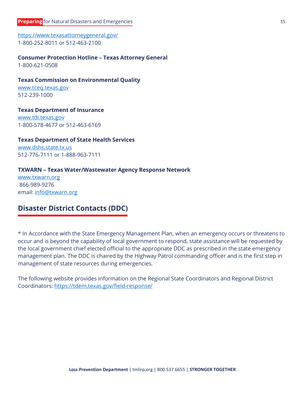<https://www.texasattorneygeneral.gov/> 1-800-252-8011 or 512-463-2100

### **Consumer Protection Hotline – Texas Attorney General**

1-800-621-0508

### **Texas Commission on Environmental Quality**

[www.tceq.texas.gov](http://www.tceq.texas.gov/) 512-239-1000

### **Texas Department of Insurance**

[www.tdi.texas.gov](http://www.tdi.texas.gov/) 1-800-578-4677 or 512-463-6169

### **Texas Department of State Health Services**

[www.dshs.state.tx.us](http://www.dshs.state.tx.us/) 512-776-7111 or 1-888-963-7111

### **TXWARN – Texas Water/Wastewater Agency Response Network**

[www.txwarn.org](http://www.txwarn.org/) 866-989-9276 email: [info@txwarn.org](mailto:info@txwarn.org)

### **Disaster District Contacts (DDC)**

\* In Accordance with the State Emergency Management Plan, when an emergency occurs or threatens to occur and is beyond the capability of local government to respond, state assistance will be requested by the local government chief elected official to the appropriate DDC as prescribed in the state emergency management plan. The DDC is chaired by the Highway Patrol commanding officer and is the first step in management of state resources during emergencies.

The following website provides information on the Regional State Coordinators and Regional District Coordinators:<https://tdem.texas.gov/field-response/>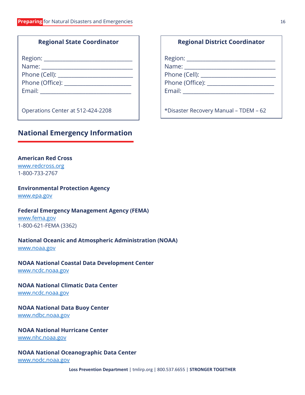### **Regional State Coordinator**

| Region: ______           |
|--------------------------|
| Name: __________________ |
| Phone (Cell):            |
| Phone (Office):          |
| Email:                   |
|                          |

Operations Center at 512-424-2208

### **National Emergency Information**

### **American Red Cross**

[www.redcross.org](http://www.redcross.org/) 1-800-733-2767

### **Environmental Protection Agency**

[www.epa.gov](http://www.epa.gov/)

### **Federal Emergency Management Agency (FEMA)**

[www.fema.gov](http://www.fema.gov/) 1-800-621-FEMA (3362)

### **National Oceanic and Atmospheric Administration (NOAA)**

[www.noaa.gov](http://www.noaa.gov/)

### **NOAA National Coastal Data Development Center**

[www.ncdc.noaa.gov](http://www.ncdc.noaa.gov/)

### **NOAA National Climatic Data Center**

[www.ncdc.noaa.gov](http://www.ncdc.noaa.gov/)

### **NOAA National Data Buoy Center**

[www.ndbc.noaa.gov](http://www.ndbc.noaa.gov/)

### **NOAA National Hurricane Center**

[www.nhc.noaa.gov](http://www.nhc.noaa.gov/)

### **NOAA National Oceanographic Data Center**

[www.nodc.noaa.gov](http://www.nodc.noaa.gov/)

Region: Name:  $\blacksquare$ Phone (Cell): \_\_\_\_\_\_\_\_\_\_\_\_\_\_\_\_\_\_\_\_\_\_\_\_\_\_\_\_ Phone (Office): \_\_\_\_\_\_\_\_\_\_\_\_\_\_\_\_\_\_\_\_\_\_\_\_\_ Email: \_\_\_\_\_\_\_\_\_\_\_\_\_\_\_\_\_\_\_\_\_\_\_\_\_\_\_\_\_\_\_\_\_\_

**Regional District Coordinator**

\*Disaster Recovery Manual – TDEM – 62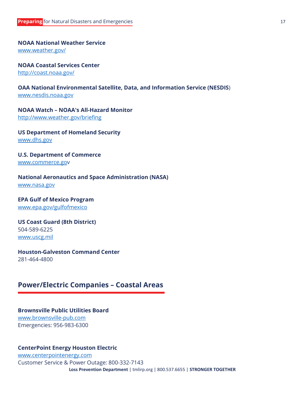### **NOAA National Weather Service**

[www.weather.gov/](http://www.weather.gov/)

**NOAA Coastal Services Center**

<http://coast.noaa.gov/>

### **OAA National Environmental Satellite, Data, and Information Service (NESDIS**) [www.nesdis.noaa.gov](http://www.nesdis.noaa.gov/)

### **NOAA Watch – NOAA's All-Hazard Monitor**

<http://www.weather.gov/briefing>

**US Department of Homeland Security** [www.dhs.gov](http://www.dhs.gov/)

**U.S. Department of Commerce** [www.commerce.gov](http://www.commerce.go/)

### **National Aeronautics and Space Administration (NASA)**

[www.nasa.gov](http://www.nasa.gov/)

### **EPA Gulf of Mexico Program**

[www.epa.gov/gulfofmexico](http://www.epa.gov/gulfofmexico)

### **US Coast Guard (8th District)**

504-589-6225 [www.uscg.mil](http://www.uscg.mil/)

### **Houston-Galveston Command Center**

281-464-4800

### **Power/Electric Companies – Coastal Areas**

### **Brownsville Public Utilities Board** [www.brownsville-pub.com](http://www.brownsville-pub.com/)

Emergencies: 956-983-6300

### **CenterPoint Energy Houston Electric**

**Loss Prevention Department** | tmlirp.org | 800.537.6655 | **STRONGER TOGETHER** [www.centerpointenergy.com](http://www.centerpointenergy.com/) Customer Service & Power Outage: 800-332-7143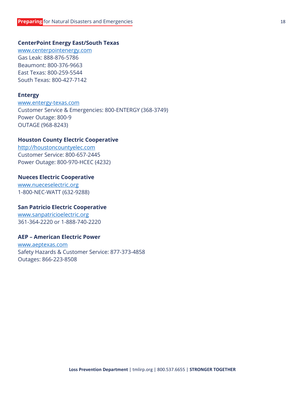### **CenterPoint Energy East/South Texas**

[www.centerpointenergy.com](http://www.centerpointenergy.com/) Gas Leak: 888-876-5786 Beaumont: 800-376-9663 East Texas: 800-259-5544 South Texas: 800-427-7142

### **Entergy**

[www.entergy-texas.com](http://www.entergy-texas.com/) Customer Service & Emergencies: 800-ENTERGY (368-3749) Power Outage: 800-9 OUTAGE (968-8243)

### **Houston County Electric Cooperative**

[http://houstoncountyelec.com](http://houstoncountyelec.com/) Customer Service: 800-657-2445 Power Outage: 800-970-HCEC (4232)

### **Nueces Electric Cooperative**

[www.nueceselectric.org](http://www.nueceselectric.org/) 1-800-NEC-WATT (632-9288)

### **San Patricio Electric Cooperative**

[www.sanpatricioelectric.org](http://www.sanpatricioelectric.org/) 361-364-2220 or 1-888-740-2220

### **AEP – American Electric Power**

[www.aeptexas.com](http://www.aeptexas.com/) Safety Hazards & Customer Service: 877-373-4858 Outages: 866-223-8508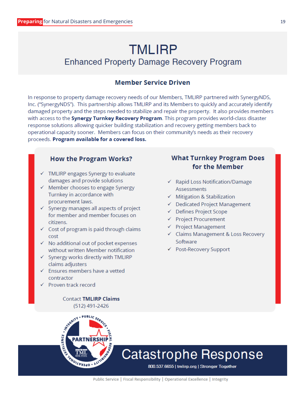### **TMLIRP Enhanced Property Damage Recovery Program**

### **Member Service Driven**

In response to property damage recovery needs of our Members, TMLIRP partnered with SynergyNDS, Inc. ("SynergyNDS"). This partnership allows TMLIRP and its Members to quickly and accurately identify damaged property and the steps needed to stabilize and repair the property. It also provides members with access to the Synergy Turnkey Recovery Program. This program provides world-class disaster response solutions allowing quicker building stabilization and recovery getting members back to operational capacity sooner. Members can focus on their community's needs as their recovery proceeds. Program available for a covered loss.

### **How the Program Works?**

- $\checkmark$  TMLIRP engages Synergy to evaluate damages and provide solutions
- $\checkmark$  Member chooses to engage Synergy Turnkey in accordance with procurement laws.
- $\checkmark$  Synergy manages all aspects of project for member and member focuses on citizens.
- $\checkmark$  Cost of program is paid through claims cost
- $\checkmark$  No additional out of pocket expenses without written Member notification
- $\checkmark$  Synergy works directly with TMLIRP claims adjusters
- $\checkmark$  Ensures members have a vetted contractor
- ← Proven track record

**Contact TMLIRP Claims** (512) 491-2426

## THE REAL PROPERTY . PUBLIC<sub>SE</sub> PARTNERSHIP

### **What Turnkey Program Does** for the Member

- ← Rapid Loss Notification/Damage **Assessments**
- $\checkmark$  Mitigation & Stabilization
- ← Dedicated Project Management
- ← Defines Project Scope
- ← Project Procurement
- $\checkmark$  Project Management
- ← Claims Management & Loss Recovery Software
- ← Post-Recovery Support

### **Catastrophe Response** Loss Pool **Department | the View Prevention Department | Stronger Together**<br>| 800.537.6655 | **tmlirp.org | Stronger Together**